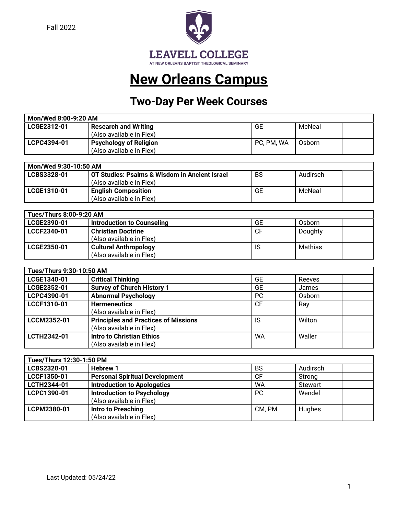Fall 2022



# **New Orleans Campus**

# **Two-Day Per Week Courses**

| Mon/Wed 8:00-9:20 AM                                       |                          |              |        |  |
|------------------------------------------------------------|--------------------------|--------------|--------|--|
| GE<br>McNeal<br>LCGE2312-01<br><b>Research and Writing</b> |                          |              |        |  |
|                                                            | (Also available in Flex) |              |        |  |
| LCPC4394-01                                                | Psychology of Religion   | ` PC, PM, WA | Osborn |  |
|                                                            | (Also available in Flex) |              |        |  |

| Mon/Wed 9:30-10:50 AM                                                          |                            |    |        |  |
|--------------------------------------------------------------------------------|----------------------------|----|--------|--|
| BS<br>OT Studies: Psalms & Wisdom in Ancient Israel<br>Audirsch<br>LCBS3328-01 |                            |    |        |  |
|                                                                                | (Also available in Flex)   |    |        |  |
| LCGE1310-01                                                                    | <b>English Composition</b> | GE | McNeal |  |
|                                                                                | (Also available in Flex)   |    |        |  |

| Tues/Thurs 8:00-9:20 AM                                          |                                                          |           |         |  |
|------------------------------------------------------------------|----------------------------------------------------------|-----------|---------|--|
| <b>GE</b><br>LCGE2390-01<br>Introduction to Counseling<br>Osborn |                                                          |           |         |  |
| LCCF2340-01                                                      | <b>Christian Doctrine</b><br>(Also available in Flex)    | <b>CF</b> | Doughty |  |
| LCGE2350-01                                                      | <b>Cultural Anthropology</b><br>(Also available in Flex) | IS        | Mathias |  |

| Tues/Thurs 9:30-10:50 AM |                                             |           |        |  |
|--------------------------|---------------------------------------------|-----------|--------|--|
| LCGE1340-01              | <b>Critical Thinking</b>                    | GE        | Reeves |  |
| LCGE2352-01              | <b>Survey of Church History 1</b>           | GE        | James  |  |
| LCPC4390-01              | <b>Abnormal Psychology</b>                  | <b>PC</b> | Osborn |  |
| LCCF1310-01              | <b>Hermeneutics</b>                         | <b>CF</b> | Ray    |  |
|                          | (Also available in Flex)                    |           |        |  |
| LCCM2352-01              | <b>Principles and Practices of Missions</b> | IS        | Wilton |  |
|                          | (Also available in Flex)                    |           |        |  |
| LCTH2342-01              | <b>Intro to Christian Ethics</b>            | <b>WA</b> | Waller |  |
|                          | (Also available in Flex)                    |           |        |  |

| Tues/Thurs 12:30-1:50 PM |                                       |           |                |  |
|--------------------------|---------------------------------------|-----------|----------------|--|
| LCBS2320-01              | <b>Hebrew 1</b>                       | <b>BS</b> | Audirsch       |  |
| LCCF1350-01              | <b>Personal Spiritual Development</b> | СF        | Strong         |  |
| LCTH2344-01              | <b>Introduction to Apologetics</b>    | WA        | <b>Stewart</b> |  |
| LCPC1390-01              | <b>Introduction to Psychology</b>     | <b>PC</b> | Wendel         |  |
|                          | (Also available in Flex)              |           |                |  |
| LCPM2380-01              | Intro to Preaching                    | CM. PM    | Hughes         |  |
|                          | (Also available in Flex)              |           |                |  |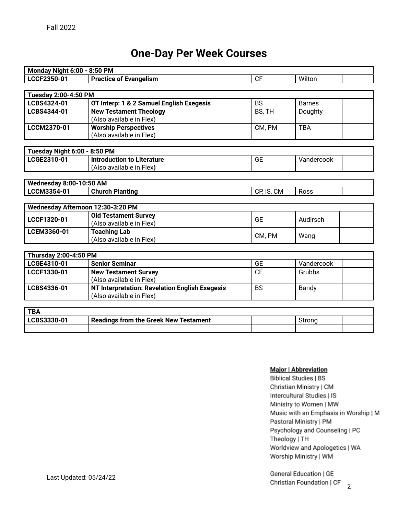### **One-Day Per Week Courses**

| <b>Monday Night 6:00 - 8:50 PM</b> |                                                                            |            |               |  |
|------------------------------------|----------------------------------------------------------------------------|------------|---------------|--|
| LCCF2350-01                        | <b>Practice of Evangelism</b>                                              | CF         | Wilton        |  |
|                                    |                                                                            |            |               |  |
| <b>Tuesday 2:00-4:50 PM</b>        |                                                                            |            |               |  |
| LCBS4324-01                        | OT Interp: 1 & 2 Samuel English Exegesis                                   | <b>BS</b>  | <b>Barnes</b> |  |
| LCBS4344-01                        | <b>New Testament Theology</b>                                              | BS, TH     | Doughty       |  |
|                                    | (Also available in Flex)                                                   |            |               |  |
| LCCM2370-01                        | <b>Worship Perspectives</b>                                                | CM, PM     | <b>TBA</b>    |  |
|                                    | (Also available in Flex)                                                   |            |               |  |
| Tuesday Night 6:00 - 8:50 PM       |                                                                            |            |               |  |
| LCGE2310-01                        | <b>Introduction to Literature</b>                                          | <b>GE</b>  | Vandercook    |  |
|                                    | (Also available in Flex)                                                   |            |               |  |
|                                    |                                                                            |            |               |  |
| <b>Wednesday 8:00-10:50 AM</b>     |                                                                            |            |               |  |
| LCCM3354-01                        | <b>Church Planting</b>                                                     | CP, IS, CM | Ross          |  |
|                                    |                                                                            |            |               |  |
|                                    | Wednesday Afternoon 12:30-3:20 PM                                          |            |               |  |
| LCCF1320-01                        | <b>Old Testament Survey</b>                                                | <b>GE</b>  | Audirsch      |  |
|                                    | (Also available in Flex)                                                   |            |               |  |
| LCEM3360-01                        | <b>Teaching Lab</b><br>(Also available in Flex)                            | CM, PM     | Wang          |  |
|                                    |                                                                            |            |               |  |
| <b>Thursday 2:00-4:50 PM</b>       |                                                                            |            |               |  |
| LCGE4310-01                        | <b>Senior Seminar</b>                                                      | <b>GE</b>  | Vandercook    |  |
| LCCF1330-01                        | <b>New Testament Survey</b>                                                | CF         | Grubbs        |  |
|                                    | (Also available in Flex)                                                   |            |               |  |
| LCBS4336-01                        | NT Interpretation: Revelation English Exegesis<br>(Also available in Flex) | <b>BS</b>  | Bandy         |  |

| <b>TBA</b> |                                              |  |  |
|------------|----------------------------------------------|--|--|
|            | <b>Readings from the Greek New Testament</b> |  |  |
|            |                                              |  |  |

#### Major | Abbreviation

**Biblical Studies | BS** Christian Ministry | CM Intercultural Studies | IS Ministry to Women | MW Music with an Emphasis in Worship | M Pastoral Ministry | PM Psychology and Counseling | PC Theology | TH Worldview and Apologetics | WA Worship Ministry | WM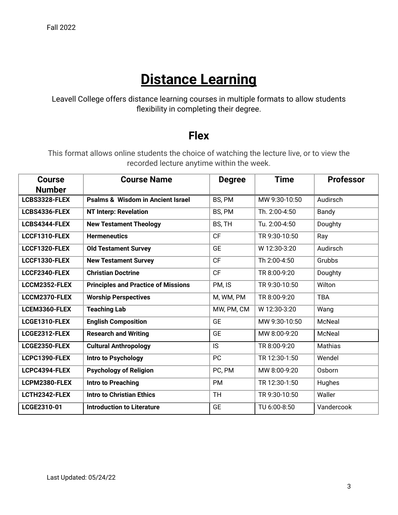# **Distance Learning**

Leavell College offers distance learning courses in multiple formats to allow students flexibility in completing their degree.

#### **Flex**

This format allows online students the choice of watching the lecture live, or to view the recorded lecture anytime within the week.

| <b>Course</b> | <b>Course Name</b>                           | <b>Degree</b> | <b>Time</b>   | <b>Professor</b> |
|---------------|----------------------------------------------|---------------|---------------|------------------|
| <b>Number</b> |                                              |               |               |                  |
| LCBS3328-FLEX | <b>Psalms &amp; Wisdom in Ancient Israel</b> | BS, PM        | MW 9:30-10:50 | Audirsch         |
| LCBS4336-FLEX | <b>NT Interp: Revelation</b>                 | BS, PM        | Th. 2:00-4:50 | Bandy            |
| LCBS4344-FLEX | <b>New Testament Theology</b>                | BS, TH        | Tu. 2:00-4:50 | Doughty          |
| LCCF1310-FLEX | <b>Hermeneutics</b>                          | <b>CF</b>     | TR 9:30-10:50 | Ray              |
| LCCF1320-FLEX | <b>Old Testament Survey</b>                  | <b>GE</b>     | W 12:30-3:20  | Audirsch         |
| LCCF1330-FLEX | <b>New Testament Survey</b>                  | <b>CF</b>     | Th 2:00-4:50  | Grubbs           |
| LCCF2340-FLEX | <b>Christian Doctrine</b>                    | CF            | TR 8:00-9:20  | Doughty          |
| LCCM2352-FLEX | <b>Principles and Practice of Missions</b>   | PM, IS        | TR 9:30-10:50 | Wilton           |
| LCCM2370-FLEX | <b>Worship Perspectives</b>                  | M, WM, PM     | TR 8:00-9:20  | <b>TBA</b>       |
| LCEM3360-FLEX | <b>Teaching Lab</b>                          | MW, PM, CM    | W 12:30-3:20  | Wang             |
| LCGE1310-FLEX | <b>English Composition</b>                   | <b>GE</b>     | MW 9:30-10:50 | McNeal           |
| LCGE2312-FLEX | <b>Research and Writing</b>                  | <b>GE</b>     | MW 8:00-9:20  | McNeal           |
| LCGE2350-FLEX | <b>Cultural Anthropology</b>                 | IS.           | TR 8:00-9:20  | Mathias          |
| LCPC1390-FLEX | Intro to Psychology                          | PC            | TR 12:30-1:50 | Wendel           |
| LCPC4394-FLEX | <b>Psychology of Religion</b>                | PC, PM        | MW 8:00-9:20  | Osborn           |
| LCPM2380-FLEX | <b>Intro to Preaching</b>                    | <b>PM</b>     | TR 12:30-1:50 | Hughes           |
| LCTH2342-FLEX | <b>Intro to Christian Ethics</b>             | <b>TH</b>     | TR 9:30-10:50 | Waller           |
| LCGE2310-01   | <b>Introduction to Literature</b>            | <b>GE</b>     | TU 6:00-8:50  | Vandercook       |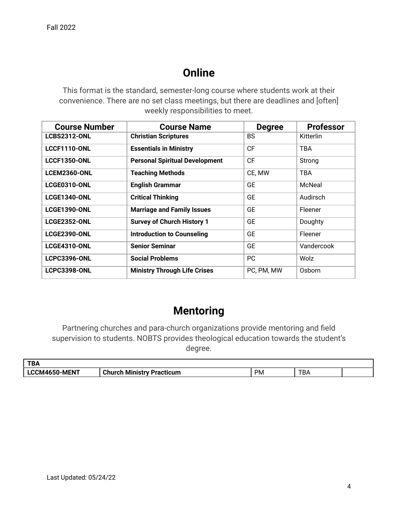### **Online**

This format is the standard, semester-long course where students work at their convenience. There are no set class meetings, but there are deadlines and [often] weekly responsibilities to meet.

| <b>Course Number</b> | <b>Course Name</b>                    | <b>Degree</b> | <b>Professor</b> |
|----------------------|---------------------------------------|---------------|------------------|
| <b>LCBS2312-ONL</b>  | <b>Christian Scriptures</b>           | <b>BS</b>     | Kitterlin        |
| <b>LCCF1110-ONL</b>  | <b>Essentials in Ministry</b>         | <b>CF</b>     | <b>TBA</b>       |
| <b>LCCF1350-ONL</b>  | <b>Personal Spiritual Development</b> | <b>CF</b>     | Strong           |
| <b>LCEM2360-ONL</b>  | <b>Teaching Methods</b>               | CE, MW        | <b>TBA</b>       |
| LCGE0310-ONL         | <b>English Grammar</b>                | <b>GE</b>     | McNeal           |
| <b>LCGE1340-ONL</b>  | <b>Critical Thinking</b>              | <b>GE</b>     | Audirsch         |
| <b>LCGE1390-ONL</b>  | <b>Marriage and Family Issues</b>     | <b>GE</b>     | Fleener          |
| <b>LCGE2352-ONL</b>  | <b>Survey of Church History 1</b>     | <b>GE</b>     | Doughty          |
| <b>LCGE2390-ONL</b>  | <b>Introduction to Counseling</b>     | <b>GE</b>     | Fleener          |
| <b>LCGE4310-ONL</b>  | <b>Senior Seminar</b>                 | <b>GE</b>     | Vandercook       |
| <b>LCPC3396-ONL</b>  | <b>Social Problems</b>                | <b>PC</b>     | Wolz             |
| <b>LCPC3398-ONL</b>  | <b>Ministry Through Life Crises</b>   | PC, PM, MW    | Osborn           |

#### **Mentoring**

Partnering churches and para-church organizations provide mentoring and field supervision to students. NOBTS provides theological education towards the student's degree.

| <b>TD</b><br>אס י |                                       |           |                      |  |
|-------------------|---------------------------------------|-----------|----------------------|--|
| 50-MENT<br>CM465  | ∩hurch ⊾<br>Ministry Practicum<br>וטו | <b>PM</b> | $\blacksquare$<br>D/ |  |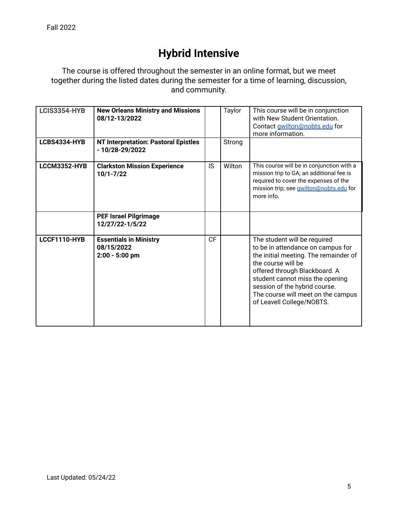# **Hybrid Intensive**

The course is offered throughout the semester in an online format, but we meet together during the listed dates during the semester for a time of learning, discussion, and community.

| <b>LCIS3354-HYB</b> | <b>New Orleans Ministry and Missions</b><br>08/12-13/2022       |           | Taylor | This course will be in conjunction<br>with New Student Orientation.<br>Contact gwilton@nobts.edu for<br>more information.                                                                                                                                                                                |
|---------------------|-----------------------------------------------------------------|-----------|--------|----------------------------------------------------------------------------------------------------------------------------------------------------------------------------------------------------------------------------------------------------------------------------------------------------------|
| LCBS4334-HYB        | <b>NT Interpretation: Pastoral Epistles</b><br>- 10/28-29/2022  |           | Strong |                                                                                                                                                                                                                                                                                                          |
| LCCM3352-HYB        | <b>Clarkston Mission Experience</b><br>$10/1 - 7/22$            | <b>IS</b> | Wilton | This course will be in conjunction with a<br>mission trip to GA; an additional fee is<br>required to cover the expenses of the<br>mission trip; see <i>gwilton@nobts.edu</i> for<br>more info.                                                                                                           |
|                     | <b>PEF Israel Pilgrimage</b><br>12/27/22-1/5/22                 |           |        |                                                                                                                                                                                                                                                                                                          |
| LCCF1110-HYB        | <b>Essentials in Ministry</b><br>08/15/2022<br>$2:00 - 5:00$ pm | CF        |        | The student will be required<br>to be in attendance on campus for<br>the initial meeting. The remainder of<br>the course will be<br>offered through Blackboard. A<br>student cannot miss the opening<br>session of the hybrid course.<br>The course will meet on the campus<br>of Leavell College/NOBTS. |